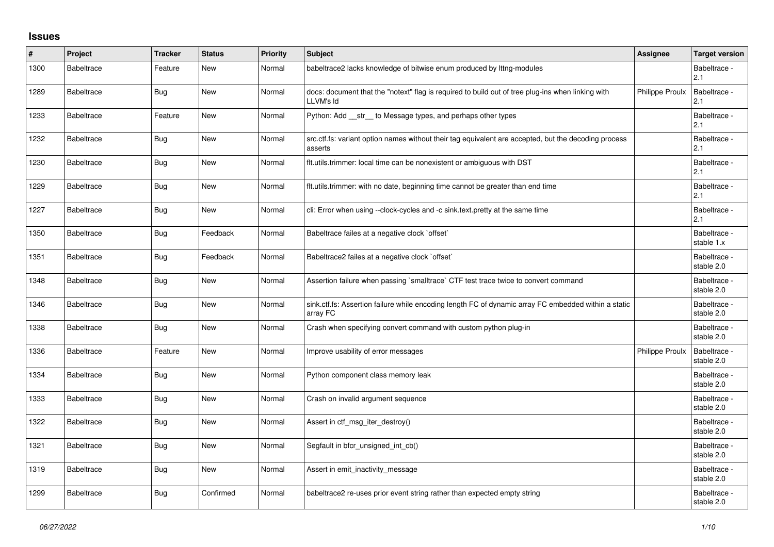## **Issues**

| $\#$ | Project           | <b>Tracker</b> | <b>Status</b> | <b>Priority</b> | <b>Subject</b>                                                                                                   | Assignee               | <b>Target version</b>      |
|------|-------------------|----------------|---------------|-----------------|------------------------------------------------------------------------------------------------------------------|------------------------|----------------------------|
| 1300 | <b>Babeltrace</b> | Feature        | New           | Normal          | babeltrace2 lacks knowledge of bitwise enum produced by lttng-modules                                            |                        | Babeltrace -<br>2.1        |
| 1289 | <b>Babeltrace</b> | Bug            | New           | Normal          | docs: document that the "notext" flag is required to build out of tree plug-ins when linking with<br>LLVM's Id   | <b>Philippe Proulx</b> | Babeltrace -<br>2.1        |
| 1233 | <b>Babeltrace</b> | Feature        | New           | Normal          | Python: Add __str__ to Message types, and perhaps other types                                                    |                        | Babeltrace -<br>2.1        |
| 1232 | <b>Babeltrace</b> | Bug            | New           | Normal          | src.ctf.fs: variant option names without their tag equivalent are accepted, but the decoding process<br>asserts  |                        | Babeltrace -<br>2.1        |
| 1230 | <b>Babeltrace</b> | Bug            | New           | Normal          | fit.utils.trimmer: local time can be nonexistent or ambiguous with DST                                           |                        | Babeltrace -<br>2.1        |
| 1229 | <b>Babeltrace</b> | Bug            | New           | Normal          | flt.utils.trimmer: with no date, beginning time cannot be greater than end time                                  |                        | Babeltrace -<br>2.1        |
| 1227 | <b>Babeltrace</b> | Bug            | New           | Normal          | cli: Error when using --clock-cycles and -c sink.text.pretty at the same time                                    |                        | Babeltrace -<br>2.1        |
| 1350 | <b>Babeltrace</b> | Bug            | Feedback      | Normal          | Babeltrace failes at a negative clock `offset`                                                                   |                        | Babeltrace -<br>stable 1.x |
| 1351 | <b>Babeltrace</b> | Bug            | Feedback      | Normal          | Babeltrace2 failes at a negative clock `offset`                                                                  |                        | Babeltrace -<br>stable 2.0 |
| 1348 | <b>Babeltrace</b> | Bug            | New           | Normal          | Assertion failure when passing `smalltrace` CTF test trace twice to convert command                              |                        | Babeltrace -<br>stable 2.0 |
| 1346 | <b>Babeltrace</b> | Bug            | <b>New</b>    | Normal          | sink.ctf.fs: Assertion failure while encoding length FC of dynamic array FC embedded within a static<br>array FC |                        | Babeltrace -<br>stable 2.0 |
| 1338 | <b>Babeltrace</b> | Bug            | <b>New</b>    | Normal          | Crash when specifying convert command with custom python plug-in                                                 |                        | Babeltrace -<br>stable 2.0 |
| 1336 | <b>Babeltrace</b> | Feature        | New           | Normal          | Improve usability of error messages                                                                              | <b>Philippe Proulx</b> | Babeltrace -<br>stable 2.0 |
| 1334 | <b>Babeltrace</b> | Bug            | New           | Normal          | Python component class memory leak                                                                               |                        | Babeltrace -<br>stable 2.0 |
| 1333 | <b>Babeltrace</b> | Bug            | New           | Normal          | Crash on invalid argument sequence                                                                               |                        | Babeltrace -<br>stable 2.0 |
| 1322 | <b>Babeltrace</b> | Bug            | New           | Normal          | Assert in ctf msg iter destroy()                                                                                 |                        | Babeltrace -<br>stable 2.0 |
| 1321 | <b>Babeltrace</b> | Bug            | New           | Normal          | Segfault in bfcr_unsigned_int_cb()                                                                               |                        | Babeltrace -<br>stable 2.0 |
| 1319 | <b>Babeltrace</b> | <b>Bug</b>     | New           | Normal          | Assert in emit inactivity message                                                                                |                        | Babeltrace -<br>stable 2.0 |
| 1299 | <b>Babeltrace</b> | Bug            | Confirmed     | Normal          | babeltrace2 re-uses prior event string rather than expected empty string                                         |                        | Babeltrace -<br>stable 2.0 |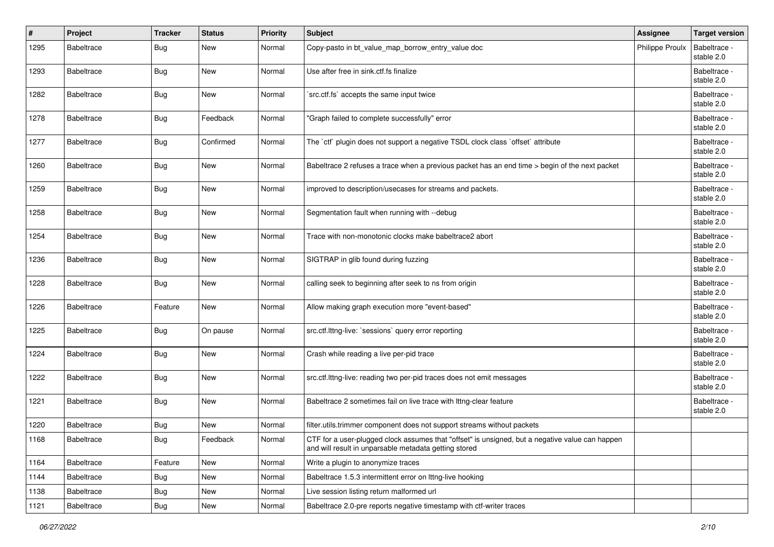| $\#$ | Project           | <b>Tracker</b> | <b>Status</b> | <b>Priority</b> | <b>Subject</b>                                                                                                                                           | Assignee        | <b>Target version</b>      |
|------|-------------------|----------------|---------------|-----------------|----------------------------------------------------------------------------------------------------------------------------------------------------------|-----------------|----------------------------|
| 1295 | <b>Babeltrace</b> | Bug            | New           | Normal          | Copy-pasto in bt_value_map_borrow_entry_value doc                                                                                                        | Philippe Proulx | Babeltrace -<br>stable 2.0 |
| 1293 | <b>Babeltrace</b> | Bug            | New           | Normal          | Use after free in sink.ctf.fs finalize                                                                                                                   |                 | Babeltrace -<br>stable 2.0 |
| 1282 | <b>Babeltrace</b> | <b>Bug</b>     | New           | Normal          | `src.ctf.fs` accepts the same input twice                                                                                                                |                 | Babeltrace -<br>stable 2.0 |
| 1278 | <b>Babeltrace</b> | Bug            | Feedback      | Normal          | "Graph failed to complete successfully" error                                                                                                            |                 | Babeltrace -<br>stable 2.0 |
| 1277 | <b>Babeltrace</b> | Bug            | Confirmed     | Normal          | The `ctf` plugin does not support a negative TSDL clock class `offset` attribute                                                                         |                 | Babeltrace -<br>stable 2.0 |
| 1260 | <b>Babeltrace</b> | Bug            | New           | Normal          | Babeltrace 2 refuses a trace when a previous packet has an end time > begin of the next packet                                                           |                 | Babeltrace -<br>stable 2.0 |
| 1259 | <b>Babeltrace</b> | <b>Bug</b>     | New           | Normal          | improved to description/usecases for streams and packets.                                                                                                |                 | Babeltrace -<br>stable 2.0 |
| 1258 | <b>Babeltrace</b> | Bug            | New           | Normal          | Segmentation fault when running with --debug                                                                                                             |                 | Babeltrace -<br>stable 2.0 |
| 1254 | <b>Babeltrace</b> | <b>Bug</b>     | New           | Normal          | Trace with non-monotonic clocks make babeltrace2 abort                                                                                                   |                 | Babeltrace -<br>stable 2.0 |
| 1236 | <b>Babeltrace</b> | Bug            | New           | Normal          | SIGTRAP in glib found during fuzzing                                                                                                                     |                 | Babeltrace -<br>stable 2.0 |
| 1228 | Babeltrace        | <b>Bug</b>     | New           | Normal          | calling seek to beginning after seek to ns from origin                                                                                                   |                 | Babeltrace -<br>stable 2.0 |
| 1226 | <b>Babeltrace</b> | Feature        | New           | Normal          | Allow making graph execution more "event-based"                                                                                                          |                 | Babeltrace -<br>stable 2.0 |
| 1225 | <b>Babeltrace</b> | Bug            | On pause      | Normal          | src.ctf.lttng-live: `sessions` query error reporting                                                                                                     |                 | Babeltrace -<br>stable 2.0 |
| 1224 | Babeltrace        | Bug            | New           | Normal          | Crash while reading a live per-pid trace                                                                                                                 |                 | Babeltrace -<br>stable 2.0 |
| 1222 | <b>Babeltrace</b> | Bug            | New           | Normal          | src.ctf.lttng-live: reading two per-pid traces does not emit messages                                                                                    |                 | Babeltrace -<br>stable 2.0 |
| 1221 | <b>Babeltrace</b> | <b>Bug</b>     | New           | Normal          | Babeltrace 2 sometimes fail on live trace with lttng-clear feature                                                                                       |                 | Babeltrace -<br>stable 2.0 |
| 1220 | Babeltrace        | Bug            | New           | Normal          | filter.utils.trimmer component does not support streams without packets                                                                                  |                 |                            |
| 1168 | Babeltrace        | <b>Bug</b>     | Feedback      | Normal          | CTF for a user-plugged clock assumes that "offset" is unsigned, but a negative value can happen<br>and will result in unparsable metadata getting stored |                 |                            |
| 1164 | Babeltrace        | Feature        | New           | Normal          | Write a plugin to anonymize traces                                                                                                                       |                 |                            |
| 1144 | Babeltrace        | <b>Bug</b>     | New           | Normal          | Babeltrace 1.5.3 intermittent error on lttng-live hooking                                                                                                |                 |                            |
| 1138 | Babeltrace        | Bug            | New           | Normal          | Live session listing return malformed url                                                                                                                |                 |                            |
| 1121 | Babeltrace        | <b>Bug</b>     | New           | Normal          | Babeltrace 2.0-pre reports negative timestamp with ctf-writer traces                                                                                     |                 |                            |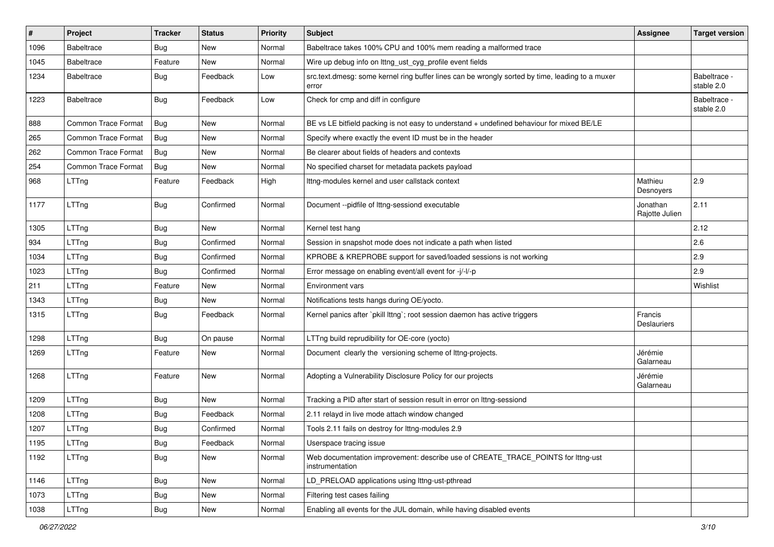| #    | Project                    | <b>Tracker</b> | <b>Status</b> | <b>Priority</b> | <b>Subject</b>                                                                                           | <b>Assignee</b>               | <b>Target version</b>      |
|------|----------------------------|----------------|---------------|-----------------|----------------------------------------------------------------------------------------------------------|-------------------------------|----------------------------|
| 1096 | <b>Babeltrace</b>          | Bug            | New           | Normal          | Babeltrace takes 100% CPU and 100% mem reading a malformed trace                                         |                               |                            |
| 1045 | <b>Babeltrace</b>          | Feature        | New           | Normal          | Wire up debug info on lttng_ust_cyg_profile event fields                                                 |                               |                            |
| 1234 | <b>Babeltrace</b>          | Bug            | Feedback      | Low             | src.text.dmesg: some kernel ring buffer lines can be wrongly sorted by time, leading to a muxer<br>error |                               | Babeltrace -<br>stable 2.0 |
| 1223 | <b>Babeltrace</b>          | <b>Bug</b>     | Feedback      | Low             | Check for cmp and diff in configure                                                                      |                               | Babeltrace -<br>stable 2.0 |
| 888  | <b>Common Trace Format</b> | Bug            | New           | Normal          | BE vs LE bitfield packing is not easy to understand + undefined behaviour for mixed BE/LE                |                               |                            |
| 265  | <b>Common Trace Format</b> | Bug            | New           | Normal          | Specify where exactly the event ID must be in the header                                                 |                               |                            |
| 262  | <b>Common Trace Format</b> | Bug            | New           | Normal          | Be clearer about fields of headers and contexts                                                          |                               |                            |
| 254  | <b>Common Trace Format</b> | Bug            | New           | Normal          | No specified charset for metadata packets payload                                                        |                               |                            |
| 968  | LTTng                      | Feature        | Feedback      | High            | Ittng-modules kernel and user callstack context                                                          | Mathieu<br>Desnoyers          | 2.9                        |
| 1177 | LTTng                      | Bug            | Confirmed     | Normal          | Document --pidfile of lttng-sessiond executable                                                          | Jonathan<br>Rajotte Julien    | 2.11                       |
| 1305 | LTTng                      | Bug            | New           | Normal          | Kernel test hang                                                                                         |                               | 2.12                       |
| 934  | LTTng                      | Bug            | Confirmed     | Normal          | Session in snapshot mode does not indicate a path when listed                                            |                               | 2.6                        |
| 1034 | LTTng                      | Bug            | Confirmed     | Normal          | KPROBE & KREPROBE support for saved/loaded sessions is not working                                       |                               | 2.9                        |
| 1023 | LTTng                      | Bug            | Confirmed     | Normal          | Error message on enabling event/all event for -j/-l/-p                                                   |                               | 2.9                        |
| 211  | LTTng                      | Feature        | New           | Normal          | Environment vars                                                                                         |                               | Wishlist                   |
| 1343 | LTTng                      | <b>Bug</b>     | New           | Normal          | Notifications tests hangs during OE/yocto.                                                               |                               |                            |
| 1315 | LTTng                      | Bug            | Feedback      | Normal          | Kernel panics after `pkill lttng`; root session daemon has active triggers                               | Francis<br><b>Deslauriers</b> |                            |
| 1298 | LTTng                      | <b>Bug</b>     | On pause      | Normal          | LTTng build reprudibility for OE-core (yocto)                                                            |                               |                            |
| 1269 | LTTng                      | Feature        | New           | Normal          | Document clearly the versioning scheme of lttng-projects.                                                | Jérémie<br>Galarneau          |                            |
| 1268 | LTTng                      | Feature        | New           | Normal          | Adopting a Vulnerability Disclosure Policy for our projects                                              | Jérémie<br>Galarneau          |                            |
| 1209 | LTTng                      | <b>Bug</b>     | <b>New</b>    | Normal          | Tracking a PID after start of session result in error on lttng-sessiond                                  |                               |                            |
| 1208 | LTTng                      | Bug            | Feedback      | Normal          | 2.11 relayd in live mode attach window changed                                                           |                               |                            |
| 1207 | LTTng                      | Bug            | Confirmed     | Normal          | Tools 2.11 fails on destroy for lttng-modules 2.9                                                        |                               |                            |
| 1195 | LTTng                      | Bug            | Feedback      | Normal          | Userspace tracing issue                                                                                  |                               |                            |
| 1192 | LTTng                      | Bug            | New           | Normal          | Web documentation improvement: describe use of CREATE_TRACE_POINTS for lttng-ust<br>instrumentation      |                               |                            |
| 1146 | LTTng                      | Bug            | New           | Normal          | LD_PRELOAD applications using lttng-ust-pthread                                                          |                               |                            |
| 1073 | LTTng                      | <b>Bug</b>     | New           | Normal          | Filtering test cases failing                                                                             |                               |                            |
| 1038 | LTTng                      | Bug            | New           | Normal          | Enabling all events for the JUL domain, while having disabled events                                     |                               |                            |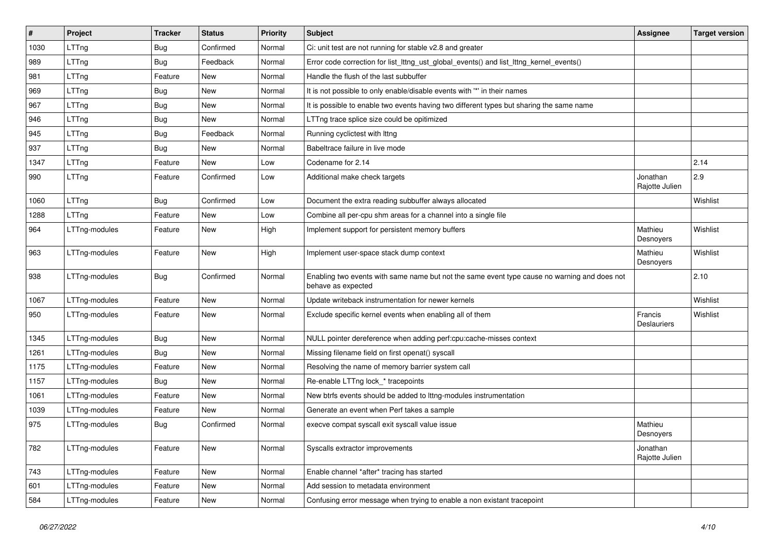| $\sharp$ | Project       | <b>Tracker</b> | <b>Status</b> | <b>Priority</b> | Subject                                                                                                            | <b>Assignee</b>               | <b>Target version</b> |
|----------|---------------|----------------|---------------|-----------------|--------------------------------------------------------------------------------------------------------------------|-------------------------------|-----------------------|
| 1030     | LTTng         | Bug            | Confirmed     | Normal          | Ci: unit test are not running for stable v2.8 and greater                                                          |                               |                       |
| 989      | LTTng         | Bug            | Feedback      | Normal          | Error code correction for list_lttng_ust_global_events() and list_lttng_kernel_events()                            |                               |                       |
| 981      | LTTng         | Feature        | New           | Normal          | Handle the flush of the last subbuffer                                                                             |                               |                       |
| 969      | LTTng         | Bug            | New           | Normal          | It is not possible to only enable/disable events with "*' in their names                                           |                               |                       |
| 967      | LTTng         | Bug            | New           | Normal          | It is possible to enable two events having two different types but sharing the same name                           |                               |                       |
| 946      | LTTng         | <b>Bug</b>     | New           | Normal          | LTTng trace splice size could be opitimized                                                                        |                               |                       |
| 945      | LTTng         | Bug            | Feedback      | Normal          | Running cyclictest with Ittng                                                                                      |                               |                       |
| 937      | LTTng         | Bug            | New           | Normal          | Babeltrace failure in live mode                                                                                    |                               |                       |
| 1347     | LTTng         | Feature        | New           | Low             | Codename for 2.14                                                                                                  |                               | 2.14                  |
| 990      | LTTng         | Feature        | Confirmed     | Low             | Additional make check targets                                                                                      | Jonathan<br>Rajotte Julien    | 2.9                   |
| 1060     | LTTng         | Bug            | Confirmed     | Low             | Document the extra reading subbuffer always allocated                                                              |                               | Wishlist              |
| 1288     | LTTng         | Feature        | New           | Low             | Combine all per-cpu shm areas for a channel into a single file                                                     |                               |                       |
| 964      | LTTng-modules | Feature        | New           | High            | Implement support for persistent memory buffers                                                                    | Mathieu<br>Desnoyers          | Wishlist              |
| 963      | LTTng-modules | Feature        | New           | High            | Implement user-space stack dump context                                                                            | Mathieu<br>Desnoyers          | Wishlist              |
| 938      | LTTng-modules | <b>Bug</b>     | Confirmed     | Normal          | Enabling two events with same name but not the same event type cause no warning and does not<br>behave as expected |                               | 2.10                  |
| 1067     | LTTng-modules | Feature        | New           | Normal          | Update writeback instrumentation for newer kernels                                                                 |                               | Wishlist              |
| 950      | LTTng-modules | Feature        | New           | Normal          | Exclude specific kernel events when enabling all of them                                                           | Francis<br><b>Deslauriers</b> | Wishlist              |
| 1345     | LTTng-modules | <b>Bug</b>     | New           | Normal          | NULL pointer dereference when adding perf:cpu:cache-misses context                                                 |                               |                       |
| 1261     | LTTng-modules | Bug            | New           | Normal          | Missing filename field on first openat() syscall                                                                   |                               |                       |
| 1175     | LTTng-modules | Feature        | New           | Normal          | Resolving the name of memory barrier system call                                                                   |                               |                       |
| 1157     | LTTng-modules | Bug            | New           | Normal          | Re-enable LTTng lock_* tracepoints                                                                                 |                               |                       |
| 1061     | LTTng-modules | Feature        | New           | Normal          | New btrfs events should be added to lttng-modules instrumentation                                                  |                               |                       |
| 1039     | LTTng-modules | Feature        | New           | Normal          | Generate an event when Perf takes a sample                                                                         |                               |                       |
| 975      | LTTng-modules | <b>Bug</b>     | Confirmed     | Normal          | execve compat syscall exit syscall value issue                                                                     | Mathieu<br>Desnoyers          |                       |
| 782      | LTTng-modules | Feature        | New           | Normal          | Syscalls extractor improvements                                                                                    | Jonathan<br>Rajotte Julien    |                       |
| 743      | LTTng-modules | Feature        | New           | Normal          | Enable channel *after* tracing has started                                                                         |                               |                       |
| 601      | LTTng-modules | Feature        | New           | Normal          | Add session to metadata environment                                                                                |                               |                       |
| 584      | LTTng-modules | Feature        | New           | Normal          | Confusing error message when trying to enable a non existant tracepoint                                            |                               |                       |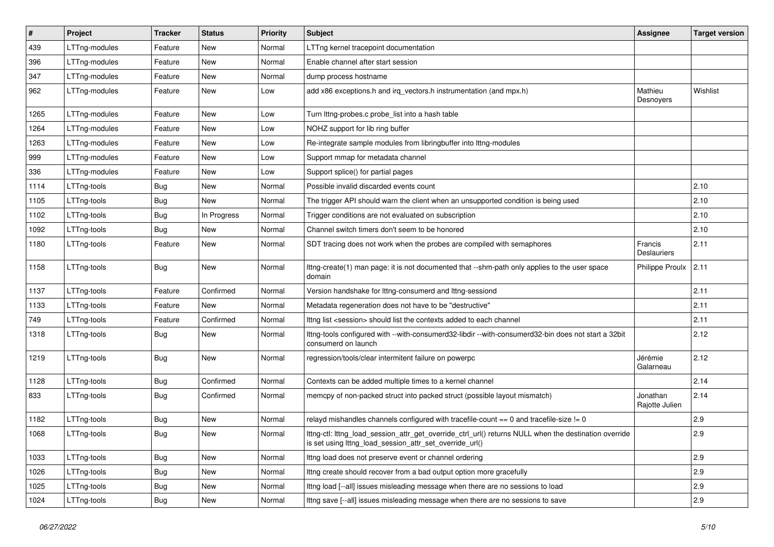| #    | Project       | <b>Tracker</b> | <b>Status</b> | <b>Priority</b> | Subject                                                                                                                                                          | Assignee                      | <b>Target version</b> |
|------|---------------|----------------|---------------|-----------------|------------------------------------------------------------------------------------------------------------------------------------------------------------------|-------------------------------|-----------------------|
| 439  | LTTng-modules | Feature        | New           | Normal          | LTTng kernel tracepoint documentation                                                                                                                            |                               |                       |
| 396  | LTTng-modules | Feature        | New           | Normal          | Enable channel after start session                                                                                                                               |                               |                       |
| 347  | LTTng-modules | Feature        | New           | Normal          | dump process hostname                                                                                                                                            |                               |                       |
| 962  | LTTng-modules | Feature        | New           | Low             | add x86 exceptions.h and irq_vectors.h instrumentation (and mpx.h)                                                                                               | Mathieu<br>Desnoyers          | Wishlist              |
| 1265 | LTTng-modules | Feature        | New           | Low             | Turn lttng-probes.c probe_list into a hash table                                                                                                                 |                               |                       |
| 1264 | LTTng-modules | Feature        | New           | Low             | NOHZ support for lib ring buffer                                                                                                                                 |                               |                       |
| 1263 | LTTng-modules | Feature        | New           | Low             | Re-integrate sample modules from libringbuffer into lttng-modules                                                                                                |                               |                       |
| 999  | LTTng-modules | Feature        | New           | Low             | Support mmap for metadata channel                                                                                                                                |                               |                       |
| 336  | LTTng-modules | Feature        | New           | Low             | Support splice() for partial pages                                                                                                                               |                               |                       |
| 1114 | LTTng-tools   | <b>Bug</b>     | New           | Normal          | Possible invalid discarded events count                                                                                                                          |                               | 2.10                  |
| 1105 | LTTng-tools   | Bug            | New           | Normal          | The trigger API should warn the client when an unsupported condition is being used                                                                               |                               | 2.10                  |
| 1102 | LTTng-tools   | Bug            | In Progress   | Normal          | Trigger conditions are not evaluated on subscription                                                                                                             |                               | 2.10                  |
| 1092 | LTTng-tools   | Bug            | New           | Normal          | Channel switch timers don't seem to be honored                                                                                                                   |                               | 2.10                  |
| 1180 | LTTng-tools   | Feature        | New           | Normal          | SDT tracing does not work when the probes are compiled with semaphores                                                                                           | Francis<br><b>Deslauriers</b> | 2.11                  |
| 1158 | LTTng-tools   | Bug            | New           | Normal          | Ittng-create(1) man page: it is not documented that --shm-path only applies to the user space<br>domain                                                          | Philippe Proulx               | 2.11                  |
| 1137 | LTTng-tools   | Feature        | Confirmed     | Normal          | Version handshake for lttng-consumerd and lttng-sessiond                                                                                                         |                               | 2.11                  |
| 1133 | LTTng-tools   | Feature        | New           | Normal          | Metadata regeneration does not have to be "destructive"                                                                                                          |                               | 2.11                  |
| 749  | LTTng-tools   | Feature        | Confirmed     | Normal          | Ittng list <session> should list the contexts added to each channel</session>                                                                                    |                               | 2.11                  |
| 1318 | LTTng-tools   | Bug            | New           | Normal          | lttng-tools configured with --with-consumerd32-libdir --with-consumerd32-bin does not start a 32bit<br>consumerd on launch                                       |                               | 2.12                  |
| 1219 | LTTng-tools   | Bug            | New           | Normal          | regression/tools/clear intermitent failure on powerpc                                                                                                            | Jérémie<br>Galarneau          | 2.12                  |
| 1128 | LTTng-tools   | <b>Bug</b>     | Confirmed     | Normal          | Contexts can be added multiple times to a kernel channel                                                                                                         |                               | 2.14                  |
| 833  | LTTng-tools   | Bug            | Confirmed     | Normal          | memcpy of non-packed struct into packed struct (possible layout mismatch)                                                                                        | Jonathan<br>Rajotte Julien    | 2.14                  |
| 1182 | LTTng-tools   | Bug            | New           | Normal          | relayd mishandles channels configured with tracefile-count == 0 and tracefile-size != 0                                                                          |                               | 2.9                   |
| 1068 | LTTng-tools   | Bug            | New           | Normal          | Ittng-ctl: Ittng load session attr get override ctrl url() returns NULL when the destination override<br>is set using lttng_load_session_attr_set_override_url() |                               | 2.9                   |
| 1033 | LTTng-tools   | Bug            | New           | Normal          | Ittng load does not preserve event or channel ordering                                                                                                           |                               | 2.9                   |
| 1026 | LTTng-tools   | <b>Bug</b>     | New           | Normal          | Ittng create should recover from a bad output option more gracefully                                                                                             |                               | 2.9                   |
| 1025 | LTTng-tools   | <b>Bug</b>     | New           | Normal          | Ittng load [--all] issues misleading message when there are no sessions to load                                                                                  |                               | 2.9                   |
| 1024 | LTTng-tools   | Bug            | New           | Normal          | Ittng save [--all] issues misleading message when there are no sessions to save                                                                                  |                               | 2.9                   |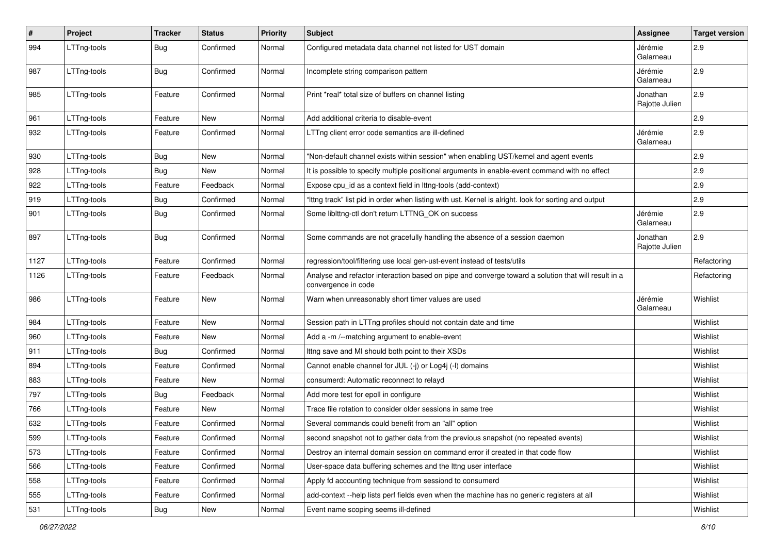| $\#$ | Project     | <b>Tracker</b> | <b>Status</b> | Priority | Subject                                                                                                                    | <b>Assignee</b>            | <b>Target version</b> |
|------|-------------|----------------|---------------|----------|----------------------------------------------------------------------------------------------------------------------------|----------------------------|-----------------------|
| 994  | LTTng-tools | <b>Bug</b>     | Confirmed     | Normal   | Configured metadata data channel not listed for UST domain                                                                 | Jérémie<br>Galarneau       | 2.9                   |
| 987  | LTTng-tools | Bug            | Confirmed     | Normal   | Incomplete string comparison pattern                                                                                       | Jérémie<br>Galarneau       | 2.9                   |
| 985  | LTTng-tools | Feature        | Confirmed     | Normal   | Print *real* total size of buffers on channel listing                                                                      | Jonathan<br>Rajotte Julien | 2.9                   |
| 961  | LTTng-tools | Feature        | New           | Normal   | Add additional criteria to disable-event                                                                                   |                            | 2.9                   |
| 932  | LTTng-tools | Feature        | Confirmed     | Normal   | LTTng client error code semantics are ill-defined                                                                          | Jérémie<br>Galarneau       | 2.9                   |
| 930  | LTTng-tools | <b>Bug</b>     | <b>New</b>    | Normal   | "Non-default channel exists within session" when enabling UST/kernel and agent events                                      |                            | 2.9                   |
| 928  | LTTng-tools | <b>Bug</b>     | New           | Normal   | It is possible to specify multiple positional arguments in enable-event command with no effect                             |                            | 2.9                   |
| 922  | LTTng-tools | Feature        | Feedback      | Normal   | Expose cpu_id as a context field in lttng-tools (add-context)                                                              |                            | 2.9                   |
| 919  | LTTng-tools | <b>Bug</b>     | Confirmed     | Normal   | "Ittng track" list pid in order when listing with ust. Kernel is alright. look for sorting and output                      |                            | 2.9                   |
| 901  | LTTng-tools | <b>Bug</b>     | Confirmed     | Normal   | Some liblttng-ctl don't return LTTNG_OK on success                                                                         | Jérémie<br>Galarneau       | 2.9                   |
| 897  | LTTng-tools | Bug            | Confirmed     | Normal   | Some commands are not gracefully handling the absence of a session daemon                                                  | Jonathan<br>Rajotte Julien | 2.9                   |
| 1127 | LTTng-tools | Feature        | Confirmed     | Normal   | regression/tool/filtering use local gen-ust-event instead of tests/utils                                                   |                            | Refactoring           |
| 1126 | LTTng-tools | Feature        | Feedback      | Normal   | Analyse and refactor interaction based on pipe and converge toward a solution that will result in a<br>convergence in code |                            | Refactoring           |
| 986  | LTTng-tools | Feature        | <b>New</b>    | Normal   | Warn when unreasonably short timer values are used                                                                         | Jérémie<br>Galarneau       | Wishlist              |
| 984  | LTTng-tools | Feature        | New           | Normal   | Session path in LTTng profiles should not contain date and time                                                            |                            | Wishlist              |
| 960  | LTTng-tools | Feature        | New           | Normal   | Add a -m /--matching argument to enable-event                                                                              |                            | Wishlist              |
| 911  | LTTng-tools | <b>Bug</b>     | Confirmed     | Normal   | Ittng save and MI should both point to their XSDs                                                                          |                            | Wishlist              |
| 894  | LTTng-tools | Feature        | Confirmed     | Normal   | Cannot enable channel for JUL (-j) or Log4j (-l) domains                                                                   |                            | Wishlist              |
| 883  | LTTng-tools | Feature        | New           | Normal   | consumerd: Automatic reconnect to relayd                                                                                   |                            | Wishlist              |
| 797  | LTTng-tools | Bug            | Feedback      | Normal   | Add more test for epoll in configure                                                                                       |                            | Wishlist              |
| 766  | LTTng-tools | Feature        | New           | Normal   | Trace file rotation to consider older sessions in same tree                                                                |                            | Wishlist              |
| 632  | LTTng-tools | Feature        | Confirmed     | Normal   | Several commands could benefit from an "all" option                                                                        |                            | Wishlist              |
| 599  | LTTng-tools | Feature        | Confirmed     | Normal   | second snapshot not to gather data from the previous snapshot (no repeated events)                                         |                            | Wishlist              |
| 573  | LTTng-tools | Feature        | Confirmed     | Normal   | Destroy an internal domain session on command error if created in that code flow                                           |                            | Wishlist              |
| 566  | LTTng-tools | Feature        | Confirmed     | Normal   | User-space data buffering schemes and the lttng user interface                                                             |                            | Wishlist              |
| 558  | LTTng-tools | Feature        | Confirmed     | Normal   | Apply fd accounting technique from sessiond to consumerd                                                                   |                            | Wishlist              |
| 555  | LTTng-tools | Feature        | Confirmed     | Normal   | add-context --help lists perf fields even when the machine has no generic registers at all                                 |                            | Wishlist              |
| 531  | LTTng-tools | j Bug          | New           | Normal   | Event name scoping seems ill-defined                                                                                       |                            | Wishlist              |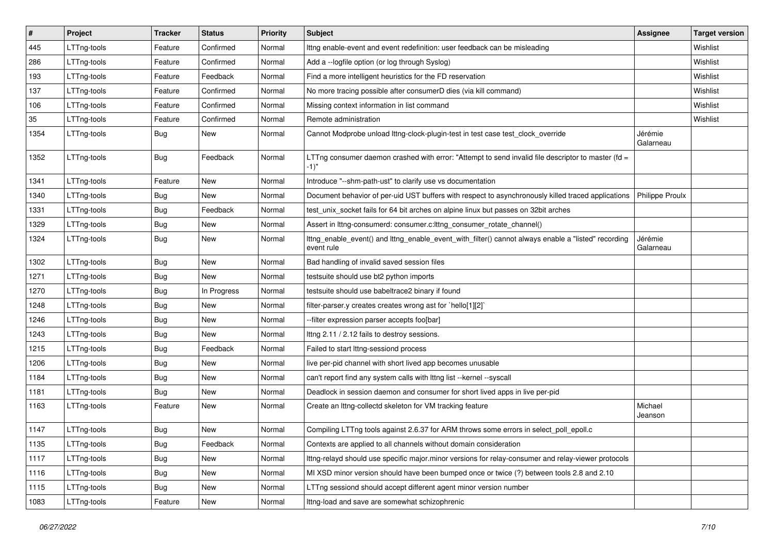| $\vert$ # | Project     | <b>Tracker</b> | <b>Status</b> | Priority | <b>Subject</b>                                                                                                    | <b>Assignee</b>      | <b>Target version</b> |
|-----------|-------------|----------------|---------------|----------|-------------------------------------------------------------------------------------------------------------------|----------------------|-----------------------|
| 445       | LTTng-tools | Feature        | Confirmed     | Normal   | Ittng enable-event and event redefinition: user feedback can be misleading                                        |                      | Wishlist              |
| 286       | LTTng-tools | Feature        | Confirmed     | Normal   | Add a -- logfile option (or log through Syslog)                                                                   |                      | Wishlist              |
| 193       | LTTng-tools | Feature        | Feedback      | Normal   | Find a more intelligent heuristics for the FD reservation                                                         |                      | Wishlist              |
| 137       | LTTng-tools | Feature        | Confirmed     | Normal   | No more tracing possible after consumerD dies (via kill command)                                                  |                      | Wishlist              |
| 106       | LTTng-tools | Feature        | Confirmed     | Normal   | Missing context information in list command                                                                       |                      | Wishlist              |
| 35        | LTTng-tools | Feature        | Confirmed     | Normal   | Remote administration                                                                                             |                      | Wishlist              |
| 1354      | LTTng-tools | Bug            | New           | Normal   | Cannot Modprobe unload lttng-clock-plugin-test in test case test_clock_override                                   | Jérémie<br>Galarneau |                       |
| 1352      | LTTng-tools | <b>Bug</b>     | Feedback      | Normal   | LTTng consumer daemon crashed with error: "Attempt to send invalid file descriptor to master (fd =<br>$-1)$ "     |                      |                       |
| 1341      | LTTng-tools | Feature        | New           | Normal   | Introduce "--shm-path-ust" to clarify use vs documentation                                                        |                      |                       |
| 1340      | LTTng-tools | <b>Bug</b>     | New           | Normal   | Document behavior of per-uid UST buffers with respect to asynchronously killed traced applications                | Philippe Proulx      |                       |
| 1331      | LTTng-tools | <b>Bug</b>     | Feedback      | Normal   | test_unix_socket fails for 64 bit arches on alpine linux but passes on 32bit arches                               |                      |                       |
| 1329      | LTTng-tools | <b>Bug</b>     | New           | Normal   | Assert in lttng-consumerd: consumer.c:lttng_consumer_rotate_channel()                                             |                      |                       |
| 1324      | LTTng-tools | <b>Bug</b>     | New           | Normal   | Ittng_enable_event() and Ittng_enable_event_with_filter() cannot always enable a "listed" recording<br>event rule | Jérémie<br>Galarneau |                       |
| 1302      | LTTng-tools | <b>Bug</b>     | New           | Normal   | Bad handling of invalid saved session files                                                                       |                      |                       |
| 1271      | LTTng-tools | <b>Bug</b>     | New           | Normal   | testsuite should use bt2 python imports                                                                           |                      |                       |
| 1270      | LTTng-tools | <b>Bug</b>     | In Progress   | Normal   | testsuite should use babeltrace2 binary if found                                                                  |                      |                       |
| 1248      | LTTng-tools | <b>Bug</b>     | New           | Normal   | filter-parser.y creates creates wrong ast for `hello[1][2]`                                                       |                      |                       |
| 1246      | LTTng-tools | <b>Bug</b>     | <b>New</b>    | Normal   | --filter expression parser accepts foo[bar]                                                                       |                      |                       |
| 1243      | LTTng-tools | <b>Bug</b>     | New           | Normal   | Ittng 2.11 / 2.12 fails to destroy sessions.                                                                      |                      |                       |
| 1215      | LTTng-tools | <b>Bug</b>     | Feedback      | Normal   | Failed to start lttng-sessiond process                                                                            |                      |                       |
| 1206      | LTTng-tools | <b>Bug</b>     | New           | Normal   | live per-pid channel with short lived app becomes unusable                                                        |                      |                       |
| 1184      | LTTng-tools | <b>Bug</b>     | New           | Normal   | can't report find any system calls with lttng list --kernel --syscall                                             |                      |                       |
| 1181      | LTTng-tools | <b>Bug</b>     | New           | Normal   | Deadlock in session daemon and consumer for short lived apps in live per-pid                                      |                      |                       |
| 1163      | LTTng-tools | Feature        | New           | Normal   | Create an Ittng-collectd skeleton for VM tracking feature                                                         | Michael<br>Jeanson   |                       |
| 1147      | LTTng-tools | <b>Bug</b>     | <b>New</b>    | Normal   | Compiling LTTng tools against 2.6.37 for ARM throws some errors in select_poll_epoll.c                            |                      |                       |
| 1135      | LTTng-tools | <b>Bug</b>     | Feedback      | Normal   | Contexts are applied to all channels without domain consideration                                                 |                      |                       |
| 1117      | LTTng-tools | <b>Bug</b>     | New           | Normal   | Ittng-relayd should use specific major.minor versions for relay-consumer and relay-viewer protocols               |                      |                       |
| 1116      | LTTng-tools | <b>Bug</b>     | New           | Normal   | MI XSD minor version should have been bumped once or twice (?) between tools 2.8 and 2.10                         |                      |                       |
| 1115      | LTTng-tools | <b>Bug</b>     | New           | Normal   | LTTng sessiond should accept different agent minor version number                                                 |                      |                       |
| 1083      | LTTng-tools | Feature        | New           | Normal   | Ittng-load and save are somewhat schizophrenic                                                                    |                      |                       |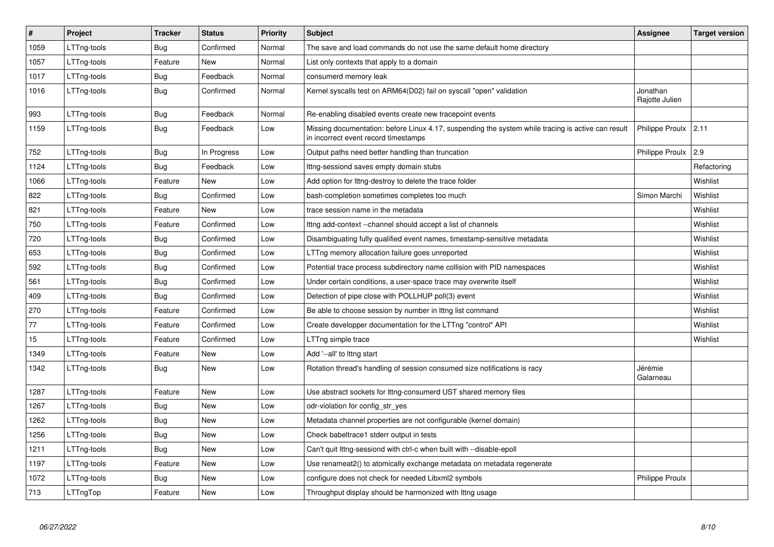| #    | Project     | <b>Tracker</b> | <b>Status</b> | <b>Priority</b> | <b>Subject</b>                                                                                                                             | Assignee                   | <b>Target version</b> |
|------|-------------|----------------|---------------|-----------------|--------------------------------------------------------------------------------------------------------------------------------------------|----------------------------|-----------------------|
| 1059 | LTTng-tools | Bug            | Confirmed     | Normal          | The save and load commands do not use the same default home directory                                                                      |                            |                       |
| 1057 | LTTng-tools | Feature        | New           | Normal          | List only contexts that apply to a domain                                                                                                  |                            |                       |
| 1017 | LTTng-tools | <b>Bug</b>     | Feedback      | Normal          | consumerd memory leak                                                                                                                      |                            |                       |
| 1016 | LTTng-tools | <b>Bug</b>     | Confirmed     | Normal          | Kernel syscalls test on ARM64(D02) fail on syscall "open" validation                                                                       | Jonathan<br>Rajotte Julien |                       |
| 993  | LTTng-tools | <b>Bug</b>     | Feedback      | Normal          | Re-enabling disabled events create new tracepoint events                                                                                   |                            |                       |
| 1159 | LTTng-tools | <b>Bug</b>     | Feedback      | Low             | Missing documentation: before Linux 4.17, suspending the system while tracing is active can result<br>in incorrect event record timestamps | Philippe Proulx            | 2.11                  |
| 752  | LTTng-tools | <b>Bug</b>     | In Progress   | Low             | Output paths need better handling than truncation                                                                                          | Philippe Proulx            | 2.9                   |
| 1124 | LTTng-tools | Bug            | Feedback      | Low             | Ittng-sessiond saves empty domain stubs                                                                                                    |                            | Refactoring           |
| 1066 | LTTng-tools | Feature        | New           | Low             | Add option for lttng-destroy to delete the trace folder                                                                                    |                            | Wishlist              |
| 822  | LTTng-tools | <b>Bug</b>     | Confirmed     | Low             | bash-completion sometimes completes too much                                                                                               | Simon Marchi               | Wishlist              |
| 821  | LTTng-tools | Feature        | <b>New</b>    | Low             | trace session name in the metadata                                                                                                         |                            | Wishlist              |
| 750  | LTTng-tools | Feature        | Confirmed     | Low             | Ittng add-context --channel should accept a list of channels                                                                               |                            | Wishlist              |
| 720  | LTTng-tools | Bug            | Confirmed     | Low             | Disambiguating fully qualified event names, timestamp-sensitive metadata                                                                   |                            | Wishlist              |
| 653  | LTTng-tools | <b>Bug</b>     | Confirmed     | Low             | LTTng memory allocation failure goes unreported                                                                                            |                            | Wishlist              |
| 592  | LTTng-tools | Bug            | Confirmed     | Low             | Potential trace process subdirectory name collision with PID namespaces                                                                    |                            | Wishlist              |
| 561  | LTTng-tools | <b>Bug</b>     | Confirmed     | Low             | Under certain conditions, a user-space trace may overwrite itself                                                                          |                            | Wishlist              |
| 409  | LTTng-tools | <b>Bug</b>     | Confirmed     | Low             | Detection of pipe close with POLLHUP poll(3) event                                                                                         |                            | Wishlist              |
| 270  | LTTng-tools | Feature        | Confirmed     | Low             | Be able to choose session by number in Ittng list command                                                                                  |                            | Wishlist              |
| 77   | LTTng-tools | Feature        | Confirmed     | Low             | Create developper documentation for the LTTng "control" API                                                                                |                            | Wishlist              |
| 15   | LTTng-tools | Feature        | Confirmed     | Low             | LTTng simple trace                                                                                                                         |                            | Wishlist              |
| 1349 | LTTng-tools | Feature        | New           | Low             | Add '--all' to lttng start                                                                                                                 |                            |                       |
| 1342 | LTTng-tools | <b>Bug</b>     | New           | Low             | Rotation thread's handling of session consumed size notifications is racy                                                                  | Jérémie<br>Galarneau       |                       |
| 1287 | LTTng-tools | Feature        | New           | Low             | Use abstract sockets for lttng-consumerd UST shared memory files                                                                           |                            |                       |
| 1267 | LTTng-tools | <b>Bug</b>     | <b>New</b>    | Low             | odr-violation for config_str_yes                                                                                                           |                            |                       |
| 1262 | LTTng-tools | <b>Bug</b>     | <b>New</b>    | Low             | Metadata channel properties are not configurable (kernel domain)                                                                           |                            |                       |
| 1256 | LTTng-tools | <b>Bug</b>     | <b>New</b>    | Low             | Check babeltrace1 stderr output in tests                                                                                                   |                            |                       |
| 1211 | LTTng-tools | Bug            | New           | Low             | Can't quit lttng-sessiond with ctrl-c when built with --disable-epoll                                                                      |                            |                       |
| 1197 | LTTng-tools | Feature        | New           | Low             | Use renameat2() to atomically exchange metadata on metadata regenerate                                                                     |                            |                       |
| 1072 | LTTng-tools | <b>Bug</b>     | <b>New</b>    | Low             | configure does not check for needed Libxml2 symbols                                                                                        | <b>Philippe Proulx</b>     |                       |
| 713  | LTTngTop    | Feature        | New           | Low             | Throughput display should be harmonized with lttng usage                                                                                   |                            |                       |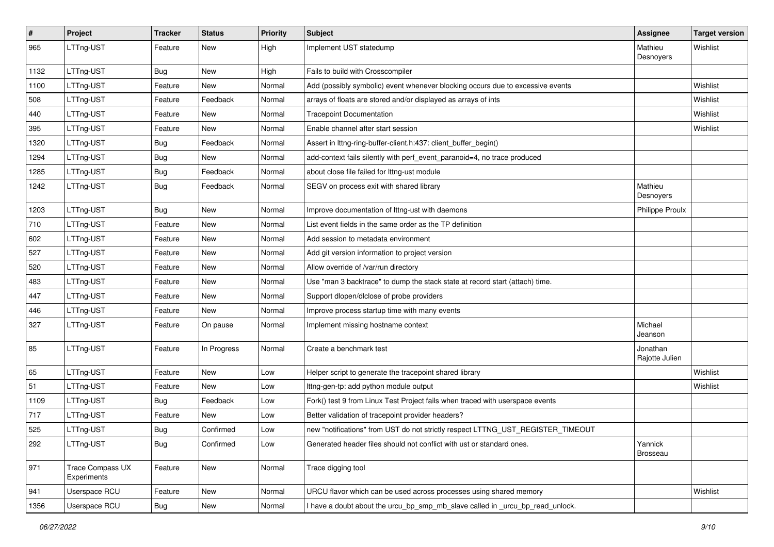| #    | Project                                | <b>Tracker</b> | <b>Status</b> | <b>Priority</b> | Subject                                                                         | Assignee                   | <b>Target version</b> |
|------|----------------------------------------|----------------|---------------|-----------------|---------------------------------------------------------------------------------|----------------------------|-----------------------|
| 965  | LTTng-UST                              | Feature        | New           | High            | Implement UST statedump                                                         | Mathieu<br>Desnoyers       | Wishlist              |
| 1132 | LTTng-UST                              | Bug            | New           | High            | Fails to build with Crosscompiler                                               |                            |                       |
| 1100 | LTTng-UST                              | Feature        | New           | Normal          | Add (possibly symbolic) event whenever blocking occurs due to excessive events  |                            | Wishlist              |
| 508  | LTTng-UST                              | Feature        | Feedback      | Normal          | arrays of floats are stored and/or displayed as arrays of ints                  |                            | Wishlist              |
| 440  | LTTng-UST                              | Feature        | New           | Normal          | <b>Tracepoint Documentation</b>                                                 |                            | Wishlist              |
| 395  | LTTng-UST                              | Feature        | New           | Normal          | Enable channel after start session                                              |                            | Wishlist              |
| 1320 | LTTng-UST                              | <b>Bug</b>     | Feedback      | Normal          | Assert in lttng-ring-buffer-client.h:437: client buffer begin()                 |                            |                       |
| 1294 | LTTng-UST                              | <b>Bug</b>     | New           | Normal          | add-context fails silently with perf_event_paranoid=4, no trace produced        |                            |                       |
| 1285 | LTTng-UST                              | <b>Bug</b>     | Feedback      | Normal          | about close file failed for Ittng-ust module                                    |                            |                       |
| 1242 | LTTng-UST                              | Bug            | Feedback      | Normal          | SEGV on process exit with shared library                                        | Mathieu<br>Desnoyers       |                       |
| 1203 | LTTng-UST                              | Bug            | New           | Normal          | Improve documentation of Ittng-ust with daemons                                 | <b>Philippe Proulx</b>     |                       |
| 710  | LTTng-UST                              | Feature        | New           | Normal          | List event fields in the same order as the TP definition                        |                            |                       |
| 602  | LTTng-UST                              | Feature        | New           | Normal          | Add session to metadata environment                                             |                            |                       |
| 527  | LTTng-UST                              | Feature        | New           | Normal          | Add git version information to project version                                  |                            |                       |
| 520  | LTTng-UST                              | Feature        | New           | Normal          | Allow override of /var/run directory                                            |                            |                       |
| 483  | LTTng-UST                              | Feature        | New           | Normal          | Use "man 3 backtrace" to dump the stack state at record start (attach) time.    |                            |                       |
| 447  | LTTng-UST                              | Feature        | New           | Normal          | Support dlopen/dlclose of probe providers                                       |                            |                       |
| 446  | LTTng-UST                              | Feature        | New           | Normal          | Improve process startup time with many events                                   |                            |                       |
| 327  | LTTng-UST                              | Feature        | On pause      | Normal          | Implement missing hostname context                                              | Michael<br>Jeanson         |                       |
| 85   | LTTng-UST                              | Feature        | In Progress   | Normal          | Create a benchmark test                                                         | Jonathan<br>Rajotte Julien |                       |
| 65   | LTTng-UST                              | Feature        | New           | Low             | Helper script to generate the tracepoint shared library                         |                            | Wishlist              |
| 51   | LTTng-UST                              | Feature        | New           | Low             | Ittng-gen-tp: add python module output                                          |                            | Wishlist              |
| 1109 | LTTng-UST                              | Bug            | Feedback      | Low             | Fork() test 9 from Linux Test Project fails when traced with userspace events   |                            |                       |
| 717  | LTTng-UST                              | Feature        | New           | Low             | Better validation of tracepoint provider headers?                               |                            |                       |
| 525  | LTTng-UST                              | Bug            | Confirmed     | Low             | new "notifications" from UST do not strictly respect LTTNG_UST_REGISTER_TIMEOUT |                            |                       |
| 292  | LTTng-UST                              | <b>Bug</b>     | Confirmed     | Low             | Generated header files should not conflict with ust or standard ones.           | Yannick<br><b>Brosseau</b> |                       |
| 971  | <b>Trace Compass UX</b><br>Experiments | Feature        | New           | Normal          | Trace digging tool                                                              |                            |                       |
| 941  | Userspace RCU                          | Feature        | New           | Normal          | URCU flavor which can be used across processes using shared memory              |                            | Wishlist              |
| 1356 | Userspace RCU                          | Bug            | New           | Normal          | I have a doubt about the urcu_bp_smp_mb_slave called in _urcu_bp_read_unlock.   |                            |                       |